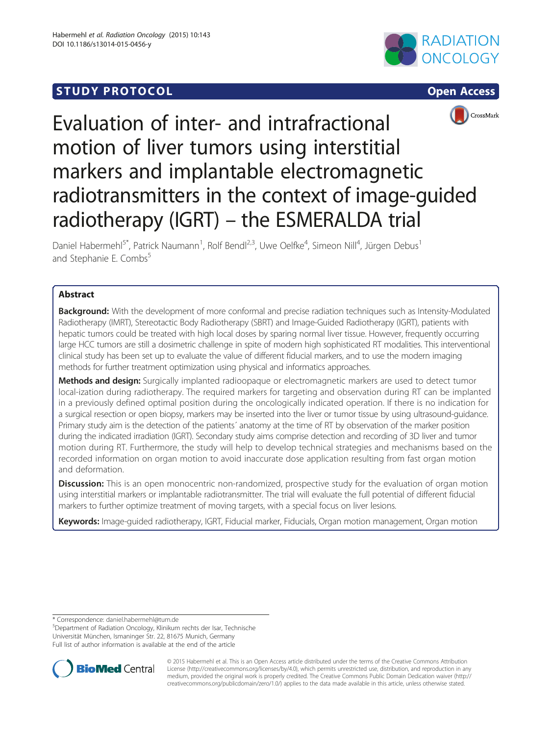# **STUDY PROTOCOL CONSUMING THE SECOND CONSUMING THE SECOND CONSUMING THE SECOND CONSUMING THE SECOND CONSUMING THE SECOND CONSUMING THE SECOND CONSUMING THE SECOND CONSUMING THE SECOND CONSUMING THE SECOND CONSUMING THE S**







# Evaluation of inter- and intrafractional motion of liver tumors using interstitial markers and implantable electromagnetic radiotransmitters in the context of image-guided radiotherapy (IGRT) – the ESMERALDA trial

Daniel Habermehl<sup>5\*</sup>, Patrick Naumann<sup>1</sup>, Rolf Bendl<sup>2,3</sup>, Uwe Oelfke<sup>4</sup>, Simeon Nill<sup>4</sup>, Jürgen Debus<sup>1</sup> and Stephanie E. Combs<sup>5</sup>

# Abstract

**Background:** With the development of more conformal and precise radiation techniques such as Intensity-Modulated Radiotherapy (IMRT), Stereotactic Body Radiotherapy (SBRT) and Image-Guided Radiotherapy (IGRT), patients with hepatic tumors could be treated with high local doses by sparing normal liver tissue. However, frequently occurring large HCC tumors are still a dosimetric challenge in spite of modern high sophisticated RT modalities. This interventional clinical study has been set up to evaluate the value of different fiducial markers, and to use the modern imaging methods for further treatment optimization using physical and informatics approaches.

Methods and design: Surgically implanted radioopaque or electromagnetic markers are used to detect tumor local-ization during radiotherapy. The required markers for targeting and observation during RT can be implanted in a previously defined optimal position during the oncologically indicated operation. If there is no indication for a surgical resection or open biopsy, markers may be inserted into the liver or tumor tissue by using ultrasound-guidance. Primary study aim is the detection of the patients´ anatomy at the time of RT by observation of the marker position during the indicated irradiation (IGRT). Secondary study aims comprise detection and recording of 3D liver and tumor motion during RT. Furthermore, the study will help to develop technical strategies and mechanisms based on the recorded information on organ motion to avoid inaccurate dose application resulting from fast organ motion and deformation.

Discussion: This is an open monocentric non-randomized, prospective study for the evaluation of organ motion using interstitial markers or implantable radiotransmitter. The trial will evaluate the full potential of different fiducial markers to further optimize treatment of moving targets, with a special focus on liver lesions.

Keywords: Image-guided radiotherapy, IGRT, Fiducial marker, Fiducials, Organ motion management, Organ motion

\* Correspondence: [daniel.habermehl@tum.de](mailto:daniel.habermehl@tum.de) <sup>5</sup>

Department of Radiation Oncology, Klinikum rechts der Isar, Technische Universität München, Ismaninger Str. 22, 81675 Munich, Germany Full list of author information is available at the end of the article



© 2015 Habermehl et al. This is an Open Access article distributed under the terms of the Creative Commons Attribution License (<http://creativecommons.org/licenses/by/4.0>), which permits unrestricted use, distribution, and reproduction in any medium, provided the original work is properly credited. The Creative Commons Public Domain Dedication waiver [\(http://](http://creativecommons.org/publicdomain/zero/1.0/) [creativecommons.org/publicdomain/zero/1.0/\)](http://creativecommons.org/publicdomain/zero/1.0/) applies to the data made available in this article, unless otherwise stated.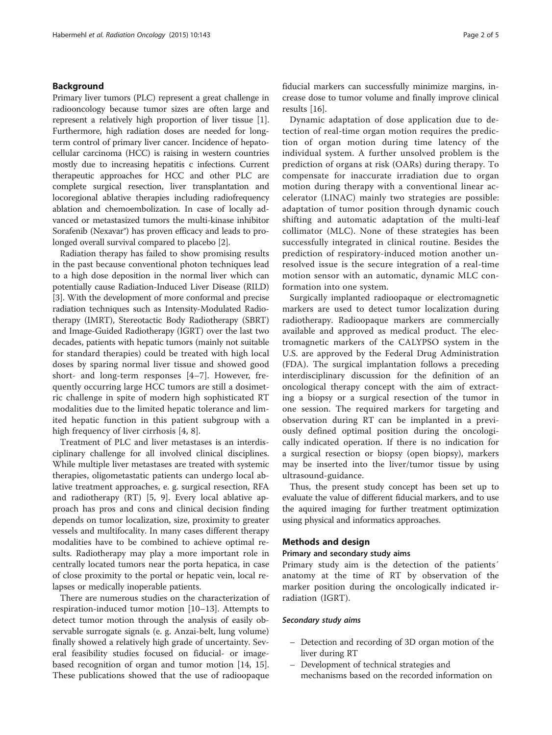# Background

Primary liver tumors (PLC) represent a great challenge in radiooncology because tumor sizes are often large and represent a relatively high proportion of liver tissue [[1](#page-3-0)]. Furthermore, high radiation doses are needed for longterm control of primary liver cancer. Incidence of hepatocellular carcinoma (HCC) is raising in western countries mostly due to increasing hepatitis c infections. Current therapeutic approaches for HCC and other PLC are complete surgical resection, liver transplantation and locoregional ablative therapies including radiofrequency ablation and chemoembolization. In case of locally advanced or metastasized tumors the multi-kinase inhibitor Sorafenib (Nexavar®) has proven efficacy and leads to prolonged overall survival compared to placebo [[2](#page-3-0)].

Radiation therapy has failed to show promising results in the past because conventional photon techniques lead to a high dose deposition in the normal liver which can potentially cause Radiation-Induced Liver Disease (RILD) [[3\]](#page-3-0). With the development of more conformal and precise radiation techniques such as Intensity-Modulated Radiotherapy (IMRT), Stereotactic Body Radiotherapy (SBRT) and Image-Guided Radiotherapy (IGRT) over the last two decades, patients with hepatic tumors (mainly not suitable for standard therapies) could be treated with high local doses by sparing normal liver tissue and showed good short- and long-term responses [\[4](#page-3-0)–[7](#page-3-0)]. However, frequently occurring large HCC tumors are still a dosimetric challenge in spite of modern high sophisticated RT modalities due to the limited hepatic tolerance and limited hepatic function in this patient subgroup with a high frequency of liver cirrhosis [[4, 8](#page-3-0)].

Treatment of PLC and liver metastases is an interdisciplinary challenge for all involved clinical disciplines. While multiple liver metastases are treated with systemic therapies, oligometastatic patients can undergo local ablative treatment approaches, e. g. surgical resection, RFA and radiotherapy (RT) [\[5](#page-3-0), [9](#page-4-0)]. Every local ablative approach has pros and cons and clinical decision finding depends on tumor localization, size, proximity to greater vessels and multifocality. In many cases different therapy modalities have to be combined to achieve optimal results. Radiotherapy may play a more important role in centrally located tumors near the porta hepatica, in case of close proximity to the portal or hepatic vein, local relapses or medically inoperable patients.

There are numerous studies on the characterization of respiration-induced tumor motion [[10](#page-4-0)–[13](#page-4-0)]. Attempts to detect tumor motion through the analysis of easily observable surrogate signals (e. g. Anzai-belt, lung volume) finally showed a relatively high grade of uncertainty. Several feasibility studies focused on fiducial- or imagebased recognition of organ and tumor motion [\[14](#page-4-0), [15](#page-4-0)]. These publications showed that the use of radioopaque

fiducial markers can successfully minimize margins, increase dose to tumor volume and finally improve clinical results [[16](#page-4-0)].

Dynamic adaptation of dose application due to detection of real-time organ motion requires the prediction of organ motion during time latency of the individual system. A further unsolved problem is the prediction of organs at risk (OARs) during therapy. To compensate for inaccurate irradiation due to organ motion during therapy with a conventional linear accelerator (LINAC) mainly two strategies are possible: adaptation of tumor position through dynamic couch shifting and automatic adaptation of the multi-leaf collimator (MLC). None of these strategies has been successfully integrated in clinical routine. Besides the prediction of respiratory-induced motion another unresolved issue is the secure integration of a real-time motion sensor with an automatic, dynamic MLC conformation into one system.

Surgically implanted radioopaque or electromagnetic markers are used to detect tumor localization during radiotherapy. Radioopaque markers are commercially available and approved as medical product. The electromagnetic markers of the CALYPSO system in the U.S. are approved by the Federal Drug Administration (FDA). The surgical implantation follows a preceding interdisciplinary discussion for the definition of an oncological therapy concept with the aim of extracting a biopsy or a surgical resection of the tumor in one session. The required markers for targeting and observation during RT can be implanted in a previously defined optimal position during the oncologically indicated operation. If there is no indication for a surgical resection or biopsy (open biopsy), markers may be inserted into the liver/tumor tissue by using ultrasound-guidance.

Thus, the present study concept has been set up to evaluate the value of different fiducial markers, and to use the aquired imaging for further treatment optimization using physical and informatics approaches.

# Methods and design

#### Primary and secondary study aims

Primary study aim is the detection of the patients´ anatomy at the time of RT by observation of the marker position during the oncologically indicated irradiation (IGRT).

#### Secondary study aims

- Detection and recording of 3D organ motion of the liver during RT
- Development of technical strategies and mechanisms based on the recorded information on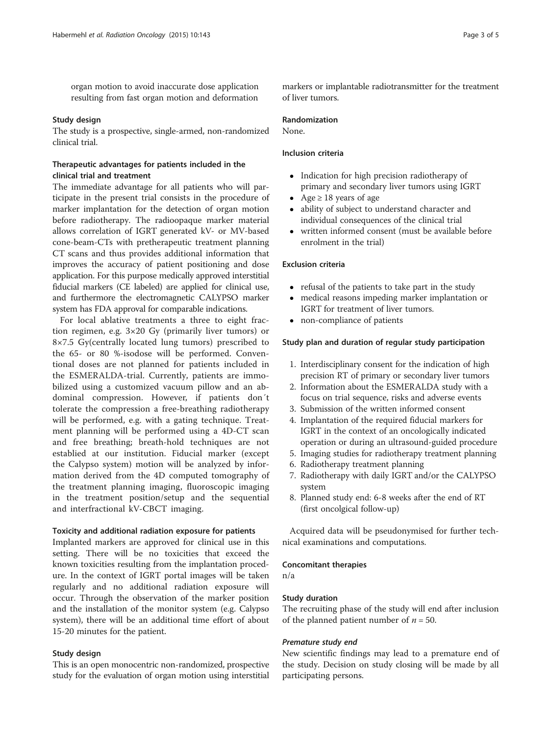organ motion to avoid inaccurate dose application resulting from fast organ motion and deformation

## Study design

The study is a prospective, single-armed, non-randomized clinical trial.

# Therapeutic advantages for patients included in the clinical trial and treatment

The immediate advantage for all patients who will participate in the present trial consists in the procedure of marker implantation for the detection of organ motion before radiotherapy. The radioopaque marker material allows correlation of IGRT generated kV- or MV-based cone-beam-CTs with pretherapeutic treatment planning CT scans and thus provides additional information that improves the accuracy of patient positioning and dose application. For this purpose medically approved interstitial fiducial markers (CE labeled) are applied for clinical use, and furthermore the electromagnetic CALYPSO marker system has FDA approval for comparable indications.

For local ablative treatments a three to eight fraction regimen, e.g. 3×20 Gy (primarily liver tumors) or 8×7.5 Gy(centrally located lung tumors) prescribed to the 65- or 80 %-isodose will be performed. Conventional doses are not planned for patients included in the ESMERALDA-trial. Currently, patients are immobilized using a customized vacuum pillow and an abdominal compression. However, if patients don´t tolerate the compression a free-breathing radiotherapy will be performed, e.g. with a gating technique. Treatment planning will be performed using a 4D-CT scan and free breathing; breath-hold techniques are not establied at our institution. Fiducial marker (except the Calypso system) motion will be analyzed by information derived from the 4D computed tomography of the treatment planning imaging, fluoroscopic imaging in the treatment position/setup and the sequential and interfractional kV-CBCT imaging.

# Toxicity and additional radiation exposure for patients

Implanted markers are approved for clinical use in this setting. There will be no toxicities that exceed the known toxicities resulting from the implantation procedure. In the context of IGRT portal images will be taken regularly and no additional radiation exposure will occur. Through the observation of the marker position and the installation of the monitor system (e.g. Calypso system), there will be an additional time effort of about 15-20 minutes for the patient.

# Study design

This is an open monocentric non-randomized, prospective study for the evaluation of organ motion using interstitial

markers or implantable radiotransmitter for the treatment of liver tumors.

# Randomization

None.

#### Inclusion criteria

- Indication for high precision radiotherapy of primary and secondary liver tumors using IGRT
- Age  $\geq$  18 years of age<br>• ability of subject to u
- ability of subject to understand character and individual consequences of the clinical trial
- written informed consent (must be available before enrolment in the trial)

# Exclusion criteria

- refusal of the patients to take part in the study
- medical reasons impeding marker implantation or IGRT for treatment of liver tumors.
- non-compliance of patients

#### Study plan and duration of regular study participation

- 1. Interdisciplinary consent for the indication of high precision RT of primary or secondary liver tumors
- 2. Information about the ESMERALDA study with a focus on trial sequence, risks and adverse events
- 3. Submission of the written informed consent
- 4. Implantation of the required fiducial markers for IGRT in the context of an oncologically indicated operation or during an ultrasound-guided procedure
- 5. Imaging studies for radiotherapy treatment planning
- 6. Radiotherapy treatment planning
- 7. Radiotherapy with daily IGRT and/or the CALYPSO system
- 8. Planned study end: 6-8 weeks after the end of RT (first oncolgical follow-up)

Acquired data will be pseudonymised for further technical examinations and computations.

#### Concomitant therapies

#### n/a

# Study duration

The recruiting phase of the study will end after inclusion of the planned patient number of  $n = 50$ .

#### Premature study end

New scientific findings may lead to a premature end of the study. Decision on study closing will be made by all participating persons.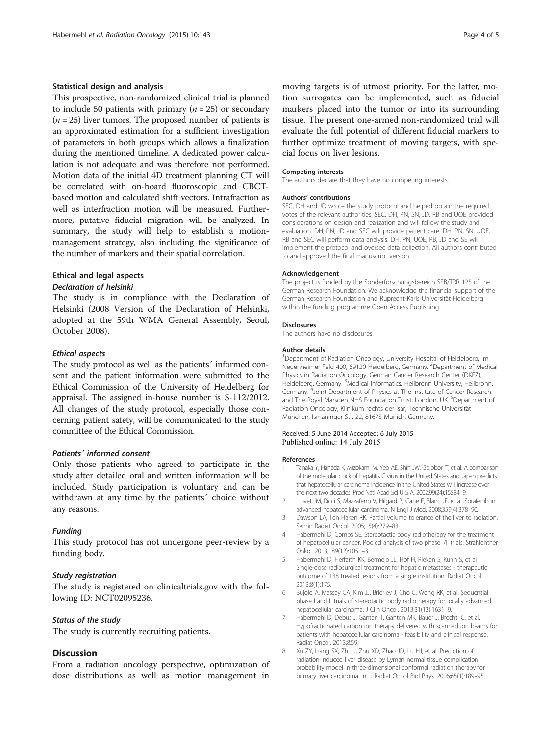#### <span id="page-3-0"></span>Statistical design and analysis

This prospective, non-randomized clinical trial is planned to include 50 patients with primary  $(n = 25)$  or secondary  $(n = 25)$  liver tumors. The proposed number of patients is an approximated estimation for a sufficient investigation of parameters in both groups which allows a finalization during the mentioned timeline. A dedicated power calculation is not adequate and was therefore not performed. Motion data of the initial 4D treatment planning CT will be correlated with on-board fluoroscopic and CBCTbased motion and calculated shift vectors. Intrafraction as well as interfraction motion will be measured. Furthermore, putative fiducial migration will be analyzed. In summary, the study will help to establish a motionmanagement strategy, also including the significance of the number of markers and their spatial correlation.

# Ethical and legal aspects Declaration of helsinki

The study is in compliance with the Declaration of Helsinki (2008 Version of the Declaration of Helsinki, adopted at the 59th WMA General Assembly, Seoul, October 2008).

# Ethical aspects

The study protocol as well as the patients´ informed consent and the patient information were submitted to the Ethical Commission of the University of Heidelberg for appraisal. The assigned in-house number is S-112/2012. All changes of the study protocol, especially those concerning patient safety, will be communicated to the study committee of the Ethical Commission.

# Patients´ informed consent

Only those patients who agreed to participate in the study after detailed oral and written information will be included. Study participation is voluntary and can be withdrawn at any time by the patients´ choice without any reasons.

#### Funding

This study protocol has not undergone peer-review by a funding body.

#### Study registration

The study is registered on clinicaltrials.gov with the following ID: NCT02095236.

# Status of the study

The study is currently recruiting patients.

# **Discussion**

From a radiation oncology perspective, optimization of dose distributions as well as motion management in

moving targets is of utmost priority. For the latter, motion surrogates can be implemented, such as fiducial markers placed into the tumor or into its surrounding tissue. The present one-armed non-randomized trial will evaluate the full potential of different fiducial markers to further optimize treatment of moving targets, with special focus on liver lesions.

#### Competing interests

The authors declare that they have no competing interests.

#### Authors' contributions

SEC, DH and JD wrote the study protocol and helped obtain the required votes of the relevant authorities. SEC, DH, PN, SN, JD, RB and UOE provided considerations on design and realization and will follow the study and evaluation. DH, PN, JD and SEC will provide patient care. DH, PN, SN, UOE RB and SEC will perform data analysis. DH, PN, UOE, RB, JD and SE will implement the protocol and oversee data collection. All authors contributed to and approved the final manuscript version.

#### Acknowledgement

The project is funded by the Sonderforschungsbereich SFB/TRR 125 of the German Research Foundation. We acknowledge the financial support of the German Research Foundation and Ruprecht-Karls-Universität Heidelberg within the funding programme Open Access Publishing.

#### Disclosures

The authors have no disclosures.

#### Author details

<sup>1</sup>Department of Radiation Oncology, University Hospital of Heidelberg, Im Neuenheimer Feld 400, 69120 Heidelberg, Germany. <sup>2</sup>Department of Medical Physics in Radiation Oncology, German Cancer Research Center (DKFZ), Heidelberg, Germany. <sup>3</sup>Medical Informatics, Heilbronn University, Heilbronn, Germany.<sup>4</sup> Joint Department of Physics at The Institute of Cancer Research and The Royal Marsden NHS Foundation Trust, London, UK. <sup>5</sup>Department of Radiation Oncology, Klinikum rechts der Isar, Technische Universität München, Ismaninger Str. 22, 81675 Munich, Germany.

#### Received: 5 June 2014 Accepted: 6 July 2015 Published online: 14 July 2015

#### References

- 1. Tanaka Y, Hanada K, Mizokami M, Yeo AE, Shih JW, Gojobori T, et al. A comparison of the molecular clock of hepatitis C virus in the United States and Japan predicts that hepatocellular carcinoma incidence in the United States will increase over the next two decades. Proc Natl Acad Sci U S A. 2002;99(24):15584–9.
- 2. Llovet JM, Ricci S, Mazzaferro V, Hilgard P, Gane E, Blanc JF, et al. Sorafenib in advanced hepatocellular carcinoma. N Engl J Med. 2008;359(4):378–90.
- 3. Dawson LA, Ten Haken RK. Partial volume tolerance of the liver to radiation. Semin Radiat Oncol. 2005;15(4):279–83.
- 4. Habermehl D, Combs SE. Stereotactic body radiotherapy for the treatment of hepatocellular cancer. Pooled analysis of two phase I/II trials. Strahlenther Onkol. 2013;189(12):1051–3.
- 5. Habermehl D, Herfarth KK, Bermejo JL, Hof H, Rieken S, Kuhn S, et al. Single-dose radiosurgical treatment for hepatic metastases - therapeutic outcome of 138 treated lesions from a single institution. Radiat Oncol. 2013;8(1):175.
- 6. Bujold A, Massey CA, Kim JJ, Brierley J, Cho C, Wong RK, et al. Sequential phase I and II trials of stereotactic body radiotherapy for locally advanced hepatocellular carcinoma. J Clin Oncol. 2013;31(13):1631–9.
- 7. Habermehl D, Debus J, Ganten T, Ganten MK, Bauer J, Brecht IC, et al. Hypofractionated carbon ion therapy delivered with scanned ion beams for patients with hepatocellular carcinoma - feasibility and clinical response. Radiat Oncol. 2013;8:59.
- 8. Xu ZY, Liang SX, Zhu J, Zhu XD, Zhao JD, Lu HJ, et al. Prediction of radiation-induced liver disease by Lyman normal-tissue complication probability model in three-dimensional conformal radiation therapy for primary liver carcinoma. Int J Radiat Oncol Biol Phys. 2006;65(1):189–95.